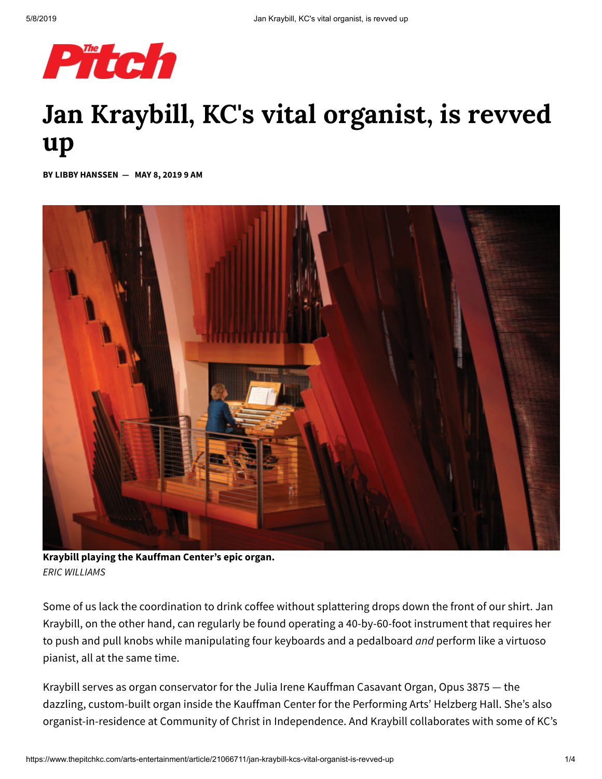

## **Jan Kraybill, KC's vital organist, is revved up**

**BY LIBBY HANSSEN — MAY 8, 2019 9 AM**



**Kraybill playing the Kauffman Center's epic organ.** *ERIC WILLIAMS*

Some of us lack the coordination to drink coffee without splattering drops down the front of our shirt. Jan Kraybill, on the other hand, can regularly be found operating a 40-by-60-foot instrument that requires her to push and pull knobs while manipulating four keyboards and a pedalboard *and* perform like a virtuoso pianist, all at the same time.

Kraybill serves as organ conservator for the Julia Irene Kauffman Casavant Organ, Opus 3875 — the dazzling, custom-built organ inside the Kauffman Center for the Performing Arts' Helzberg Hall. She's also organist-in-residence at Community of Christ in Independence. And Kraybill collaborates with some of KC's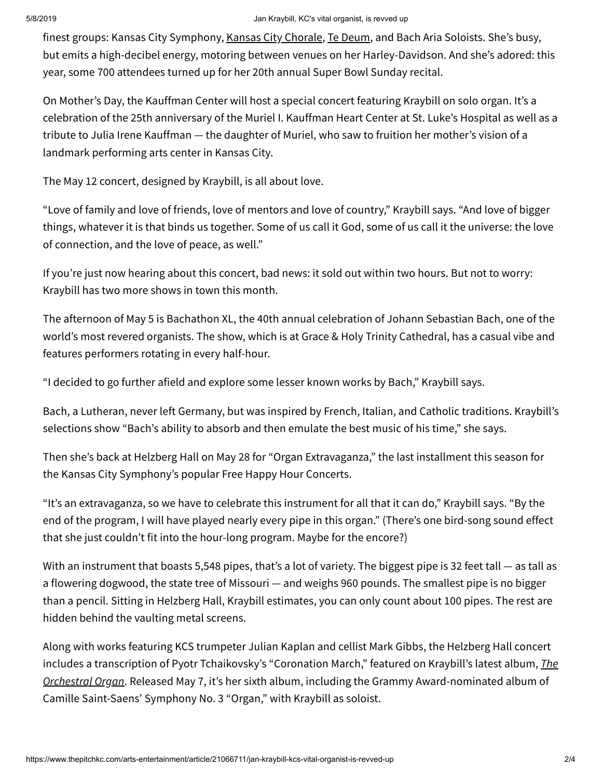## 5/8/2019 Jan Kraybill, KC's vital organist, is revved up

finest groups: Kansas City Symphony, Kansas City [Chorale,](https://www.thepitchkc.com/culture/article/21066747/kstate-grad-student-patrick-dittamo-has-reconstructed-a-piece-of-vatican-music-unheard-for-480-years) Te [Deum,](https://www.thepitchkc.com/arts-entertainment/music/article/21049262/te-deum-looks-to-revive-the-largely-forgotten-choral-music-of-17th-century-nuns) and Bach Aria Soloists. She's busy, but emits a high-decibel energy, motoring between venues on her Harley-Davidson. And she's adored: this year, some 700 attendees turned up for her 20th annual Super Bowl Sunday recital.

On Mother's Day, the Kauffman Center will host a special concert featuring Kraybill on solo organ. It's a celebration of the 25th anniversary of the Muriel I. Kauffman Heart Center at St. Luke's Hospital as well as a tribute to Julia Irene Kauffman — the daughter of Muriel, who saw to fruition her mother's vision of a landmark performing arts center in Kansas City.

The May 12 concert, designed by Kraybill, is all about love.

"Love of family and love of friends, love of mentors and love of country," Kraybill says. "And love of bigger things, whatever it is that binds us together. Some of us call it God, some of us call it the universe: the love of connection, and the love of peace, as well."

If you're just now hearing about this concert, bad news: it sold out within two hours. But not to worry: Kraybill has two more shows in town this month.

The afternoon of May 5 is Bachathon XL, the 40th annual celebration of Johann Sebastian Bach, one of the world's most revered organists. The show, which is at Grace & Holy Trinity Cathedral, has a casual vibe and features performers rotating in every half-hour.

"I decided to go further afield and explore some lesser known works by Bach," Kraybill says.

Bach, a Lutheran, never left Germany, but was inspired by French, Italian, and Catholic traditions. Kraybill's selections show "Bach's ability to absorb and then emulate the best music of his time," she says.

Then she's back at Helzberg Hall on May 28 for "Organ Extravaganza," the last installment this season for the Kansas City Symphony's popular Free Happy Hour Concerts.

"It's an extravaganza, so we have to celebrate this instrument for all that it can do," Kraybill says. "By the end of the program, I will have played nearly every pipe in this organ." (There's one bird-song sound effect that she just couldn't fit into the hour-long program. Maybe for the encore?)

With an instrument that boasts 5,548 pipes, that's a lot of variety. The biggest pipe is 32 feet tall – as tall as a flowering dogwood, the state tree of Missouri — and weighs 960 pounds. The smallest pipe is no bigger than a pencil. Sitting in Helzberg Hall, Kraybill estimates, you can only count about 100 pipes. The rest are hidden behind the vaulting metal screens.

Along with works featuring KCS trumpeter Julian Kaplan and cellist Mark Gibbs, the Helzberg Hall concert includes a transcription of Pyotr Tchaikovsky's "Coronation March," featured on Kraybill's latest album, *The Orchestral Organ*. Released May 7, it's her sixth album, including the Grammy [Award-nominated](https://referencerecordings.com/recording/the-orchestral-organ) album of Camille Saint-Saens' Symphony No. 3 "Organ," with Kraybill as soloist.